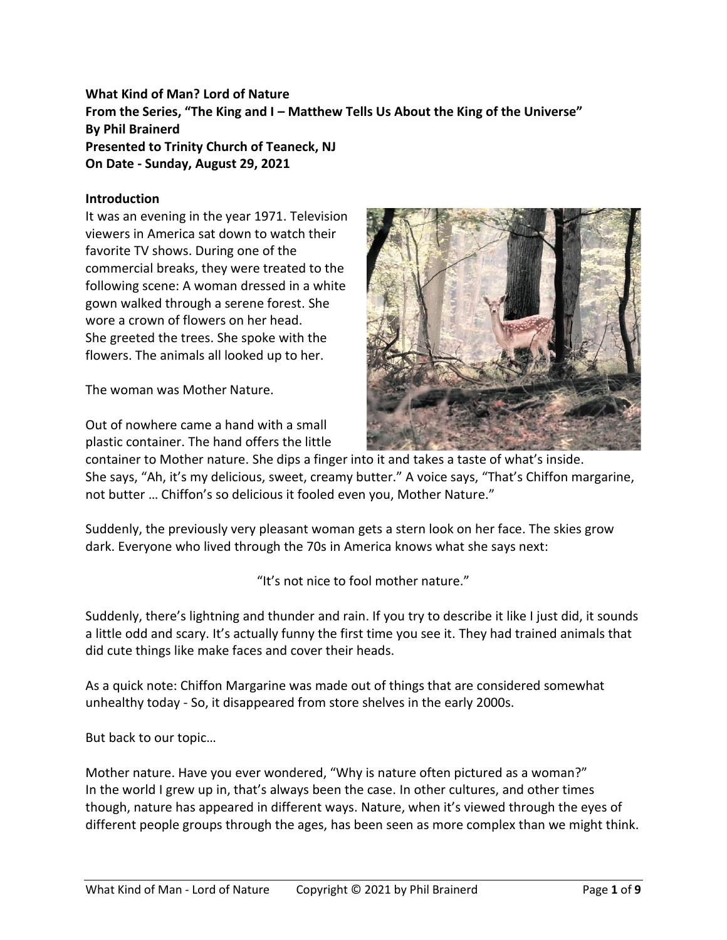# **What Kind of Man? Lord of Nature From the Series, "The King and I – Matthew Tells Us About the King of the Universe" By Phil Brainerd Presented to Trinity Church of Teaneck, NJ On Date - Sunday, August 29, 2021**

#### **Introduction**

It was an evening in the year 1971. Television viewers in America sat down to watch their favorite TV shows. During one of the commercial breaks, they were treated to the following scene: A woman dressed in a white gown walked through a serene forest. She wore a crown of flowers on her head. She greeted the trees. She spoke with the flowers. The animals all looked up to her.

The woman was Mother Nature.

Out of nowhere came a hand with a small plastic container. The hand offers the little



container to Mother nature. She dips a finger into it and takes a taste of what's inside. She says, "Ah, it's my delicious, sweet, creamy butter." A voice says, "That's Chiffon margarine, not butter … Chiffon's so delicious it fooled even you, Mother Nature."

Suddenly, the previously very pleasant woman gets a stern look on her face. The skies grow dark. Everyone who lived through the 70s in America knows what she says next:

"It's not nice to fool mother nature."

Suddenly, there's lightning and thunder and rain. If you try to describe it like I just did, it sounds a little odd and scary. It's actually funny the first time you see it. They had trained animals that did cute things like make faces and cover their heads.

As a quick note: Chiffon Margarine was made out of things that are considered somewhat unhealthy today - So, it disappeared from store shelves in the early 2000s.

But back to our topic…

Mother nature. Have you ever wondered, "Why is nature often pictured as a woman?" In the world I grew up in, that's always been the case. In other cultures, and other times though, nature has appeared in different ways. Nature, when it's viewed through the eyes of different people groups through the ages, has been seen as more complex than we might think.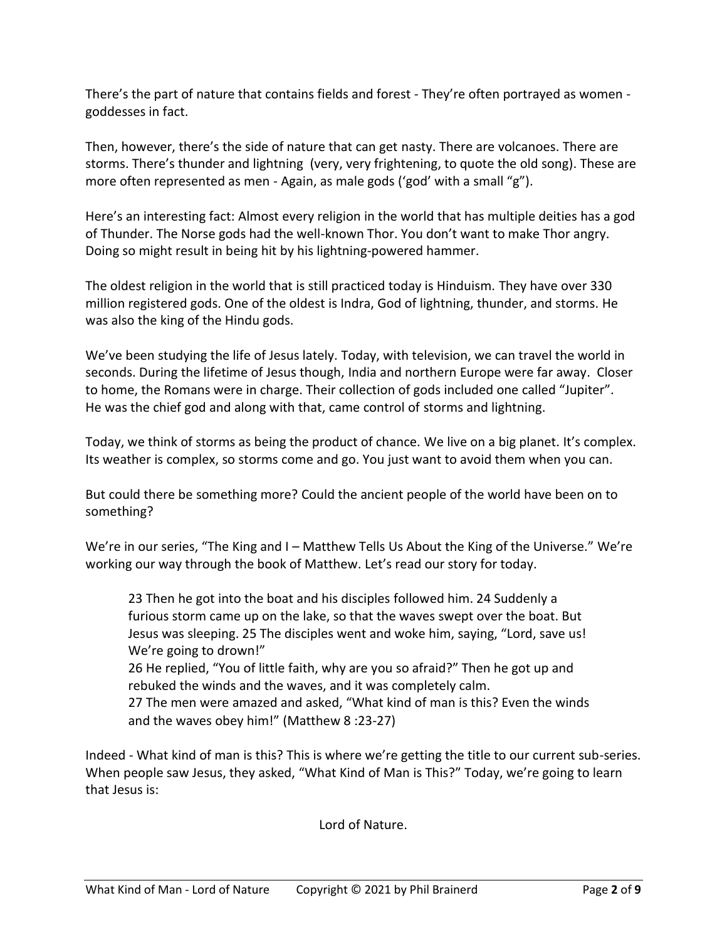There's the part of nature that contains fields and forest - They're often portrayed as women goddesses in fact.

Then, however, there's the side of nature that can get nasty. There are volcanoes. There are storms. There's thunder and lightning (very, very frightening, to quote the old song). These are more often represented as men - Again, as male gods ('god' with a small "g").

Here's an interesting fact: Almost every religion in the world that has multiple deities has a god of Thunder. The Norse gods had the well-known Thor. You don't want to make Thor angry. Doing so might result in being hit by his lightning-powered hammer.

The oldest religion in the world that is still practiced today is Hinduism. They have over 330 million registered gods. One of the oldest is Indra, God of lightning, thunder, and storms. He was also the king of the Hindu gods.

We've been studying the life of Jesus lately. Today, with television, we can travel the world in seconds. During the lifetime of Jesus though, India and northern Europe were far away. Closer to home, the Romans were in charge. Their collection of gods included one called "Jupiter". He was the chief god and along with that, came control of storms and lightning.

Today, we think of storms as being the product of chance. We live on a big planet. It's complex. Its weather is complex, so storms come and go. You just want to avoid them when you can.

But could there be something more? Could the ancient people of the world have been on to something?

We're in our series, "The King and I – Matthew Tells Us About the King of the Universe." We're working our way through the book of Matthew. Let's read our story for today.

23 Then he got into the boat and his disciples followed him. 24 Suddenly a furious storm came up on the lake, so that the waves swept over the boat. But Jesus was sleeping. 25 The disciples went and woke him, saying, "Lord, save us! We're going to drown!"

26 He replied, "You of little faith, why are you so afraid?" Then he got up and rebuked the winds and the waves, and it was completely calm.

27 The men were amazed and asked, "What kind of man is this? Even the winds and the waves obey him!" (Matthew 8 :23-27)

Indeed - What kind of man is this? This is where we're getting the title to our current sub-series. When people saw Jesus, they asked, "What Kind of Man is This?" Today, we're going to learn that Jesus is:

Lord of Nature.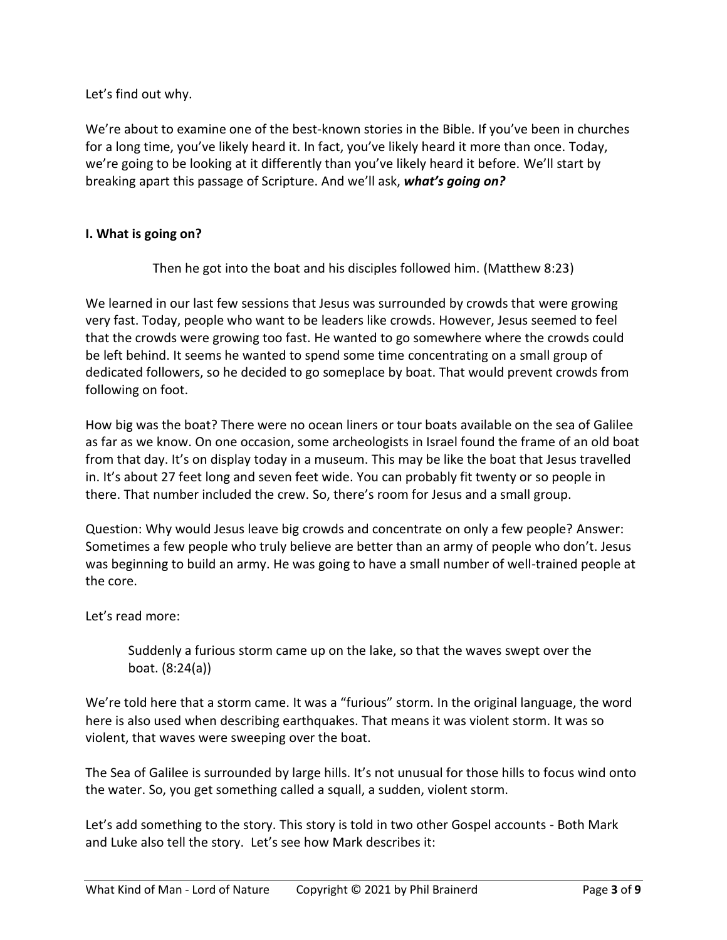Let's find out why.

We're about to examine one of the best-known stories in the Bible. If you've been in churches for a long time, you've likely heard it. In fact, you've likely heard it more than once. Today, we're going to be looking at it differently than you've likely heard it before. We'll start by breaking apart this passage of Scripture. And we'll ask, *what's going on?*

# **I. What is going on?**

Then he got into the boat and his disciples followed him. (Matthew 8:23)

We learned in our last few sessions that Jesus was surrounded by crowds that were growing very fast. Today, people who want to be leaders like crowds. However, Jesus seemed to feel that the crowds were growing too fast. He wanted to go somewhere where the crowds could be left behind. It seems he wanted to spend some time concentrating on a small group of dedicated followers, so he decided to go someplace by boat. That would prevent crowds from following on foot.

How big was the boat? There were no ocean liners or tour boats available on the sea of Galilee as far as we know. On one occasion, some archeologists in Israel found the frame of an old boat from that day. It's on display today in a museum. This may be like the boat that Jesus travelled in. It's about 27 feet long and seven feet wide. You can probably fit twenty or so people in there. That number included the crew. So, there's room for Jesus and a small group.

Question: Why would Jesus leave big crowds and concentrate on only a few people? Answer: Sometimes a few people who truly believe are better than an army of people who don't. Jesus was beginning to build an army. He was going to have a small number of well-trained people at the core.

Let's read more:

Suddenly a furious storm came up on the lake, so that the waves swept over the boat. (8:24(a))

We're told here that a storm came. It was a "furious" storm. In the original language, the word here is also used when describing earthquakes. That means it was violent storm. It was so violent, that waves were sweeping over the boat.

The Sea of Galilee is surrounded by large hills. It's not unusual for those hills to focus wind onto the water. So, you get something called a squall, a sudden, violent storm.

Let's add something to the story. This story is told in two other Gospel accounts - Both Mark and Luke also tell the story. Let's see how Mark describes it: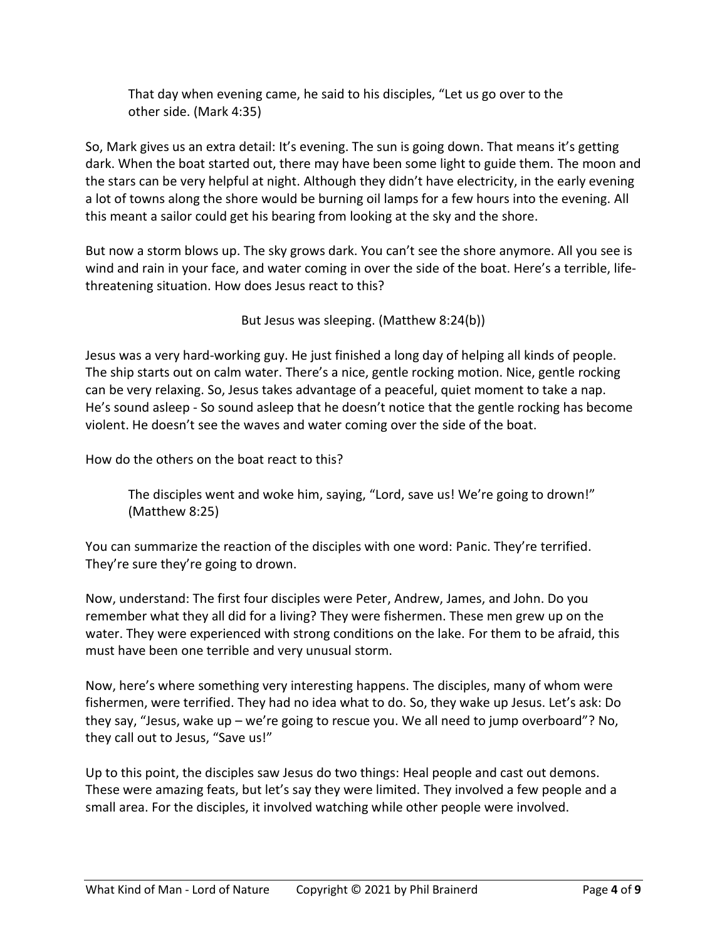That day when evening came, he said to his disciples, "Let us go over to the other side. (Mark 4:35)

So, Mark gives us an extra detail: It's evening. The sun is going down. That means it's getting dark. When the boat started out, there may have been some light to guide them. The moon and the stars can be very helpful at night. Although they didn't have electricity, in the early evening a lot of towns along the shore would be burning oil lamps for a few hours into the evening. All this meant a sailor could get his bearing from looking at the sky and the shore.

But now a storm blows up. The sky grows dark. You can't see the shore anymore. All you see is wind and rain in your face, and water coming in over the side of the boat. Here's a terrible, lifethreatening situation. How does Jesus react to this?

But Jesus was sleeping. (Matthew 8:24(b))

Jesus was a very hard-working guy. He just finished a long day of helping all kinds of people. The ship starts out on calm water. There's a nice, gentle rocking motion. Nice, gentle rocking can be very relaxing. So, Jesus takes advantage of a peaceful, quiet moment to take a nap. He's sound asleep - So sound asleep that he doesn't notice that the gentle rocking has become violent. He doesn't see the waves and water coming over the side of the boat.

How do the others on the boat react to this?

The disciples went and woke him, saying, "Lord, save us! We're going to drown!" (Matthew 8:25)

You can summarize the reaction of the disciples with one word: Panic. They're terrified. They're sure they're going to drown.

Now, understand: The first four disciples were Peter, Andrew, James, and John. Do you remember what they all did for a living? They were fishermen. These men grew up on the water. They were experienced with strong conditions on the lake. For them to be afraid, this must have been one terrible and very unusual storm.

Now, here's where something very interesting happens. The disciples, many of whom were fishermen, were terrified. They had no idea what to do. So, they wake up Jesus. Let's ask: Do they say, "Jesus, wake up – we're going to rescue you. We all need to jump overboard"? No, they call out to Jesus, "Save us!"

Up to this point, the disciples saw Jesus do two things: Heal people and cast out demons. These were amazing feats, but let's say they were limited. They involved a few people and a small area. For the disciples, it involved watching while other people were involved.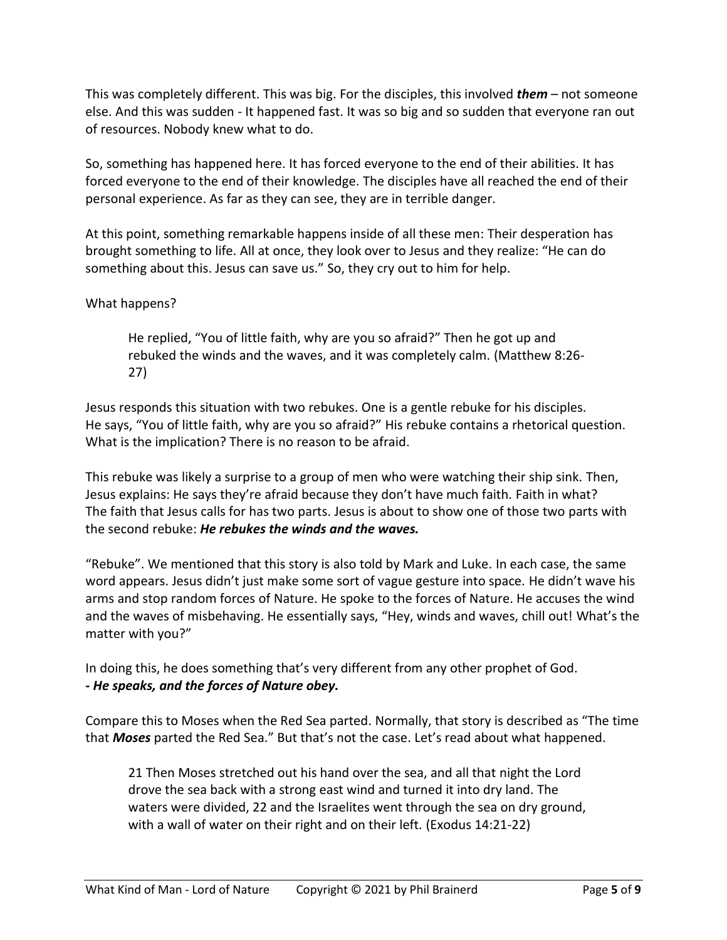This was completely different. This was big. For the disciples, this involved *them* – not someone else. And this was sudden - It happened fast. It was so big and so sudden that everyone ran out of resources. Nobody knew what to do.

So, something has happened here. It has forced everyone to the end of their abilities. It has forced everyone to the end of their knowledge. The disciples have all reached the end of their personal experience. As far as they can see, they are in terrible danger.

At this point, something remarkable happens inside of all these men: Their desperation has brought something to life. All at once, they look over to Jesus and they realize: "He can do something about this. Jesus can save us." So, they cry out to him for help.

### What happens?

He replied, "You of little faith, why are you so afraid?" Then he got up and rebuked the winds and the waves, and it was completely calm. (Matthew 8:26- 27)

Jesus responds this situation with two rebukes. One is a gentle rebuke for his disciples. He says, "You of little faith, why are you so afraid?" His rebuke contains a rhetorical question. What is the implication? There is no reason to be afraid.

This rebuke was likely a surprise to a group of men who were watching their ship sink. Then, Jesus explains: He says they're afraid because they don't have much faith. Faith in what? The faith that Jesus calls for has two parts. Jesus is about to show one of those two parts with the second rebuke: *He rebukes the winds and the waves.*

"Rebuke". We mentioned that this story is also told by Mark and Luke. In each case, the same word appears. Jesus didn't just make some sort of vague gesture into space. He didn't wave his arms and stop random forces of Nature. He spoke to the forces of Nature. He accuses the wind and the waves of misbehaving. He essentially says, "Hey, winds and waves, chill out! What's the matter with you?"

In doing this, he does something that's very different from any other prophet of God. *- He speaks, and the forces of Nature obey.*

Compare this to Moses when the Red Sea parted. Normally, that story is described as "The time that *Moses* parted the Red Sea." But that's not the case. Let's read about what happened.

21 Then Moses stretched out his hand over the sea, and all that night the Lord drove the sea back with a strong east wind and turned it into dry land. The waters were divided, 22 and the Israelites went through the sea on dry ground, with a wall of water on their right and on their left. (Exodus 14:21-22)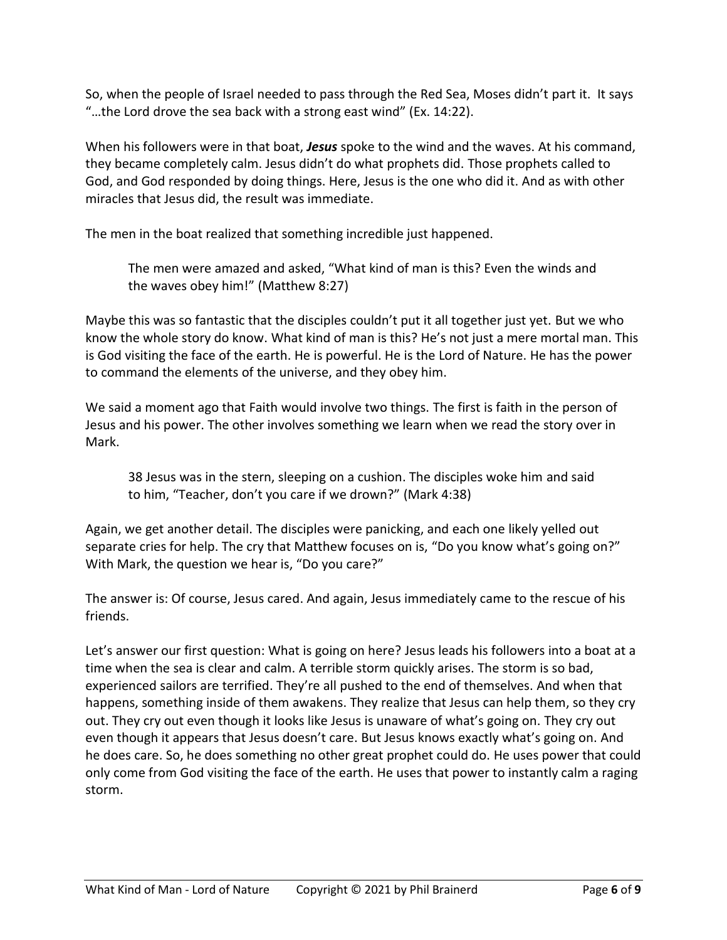So, when the people of Israel needed to pass through the Red Sea, Moses didn't part it. It says "…the Lord drove the sea back with a strong east wind" (Ex. 14:22).

When his followers were in that boat, *Jesus* spoke to the wind and the waves. At his command, they became completely calm. Jesus didn't do what prophets did. Those prophets called to God, and God responded by doing things. Here, Jesus is the one who did it. And as with other miracles that Jesus did, the result was immediate.

The men in the boat realized that something incredible just happened.

The men were amazed and asked, "What kind of man is this? Even the winds and the waves obey him!" (Matthew 8:27)

Maybe this was so fantastic that the disciples couldn't put it all together just yet. But we who know the whole story do know. What kind of man is this? He's not just a mere mortal man. This is God visiting the face of the earth. He is powerful. He is the Lord of Nature. He has the power to command the elements of the universe, and they obey him.

We said a moment ago that Faith would involve two things. The first is faith in the person of Jesus and his power. The other involves something we learn when we read the story over in Mark.

38 Jesus was in the stern, sleeping on a cushion. The disciples woke him and said to him, "Teacher, don't you care if we drown?" (Mark 4:38)

Again, we get another detail. The disciples were panicking, and each one likely yelled out separate cries for help. The cry that Matthew focuses on is, "Do you know what's going on?" With Mark, the question we hear is, "Do you care?"

The answer is: Of course, Jesus cared. And again, Jesus immediately came to the rescue of his friends.

Let's answer our first question: What is going on here? Jesus leads his followers into a boat at a time when the sea is clear and calm. A terrible storm quickly arises. The storm is so bad, experienced sailors are terrified. They're all pushed to the end of themselves. And when that happens, something inside of them awakens. They realize that Jesus can help them, so they cry out. They cry out even though it looks like Jesus is unaware of what's going on. They cry out even though it appears that Jesus doesn't care. But Jesus knows exactly what's going on. And he does care. So, he does something no other great prophet could do. He uses power that could only come from God visiting the face of the earth. He uses that power to instantly calm a raging storm.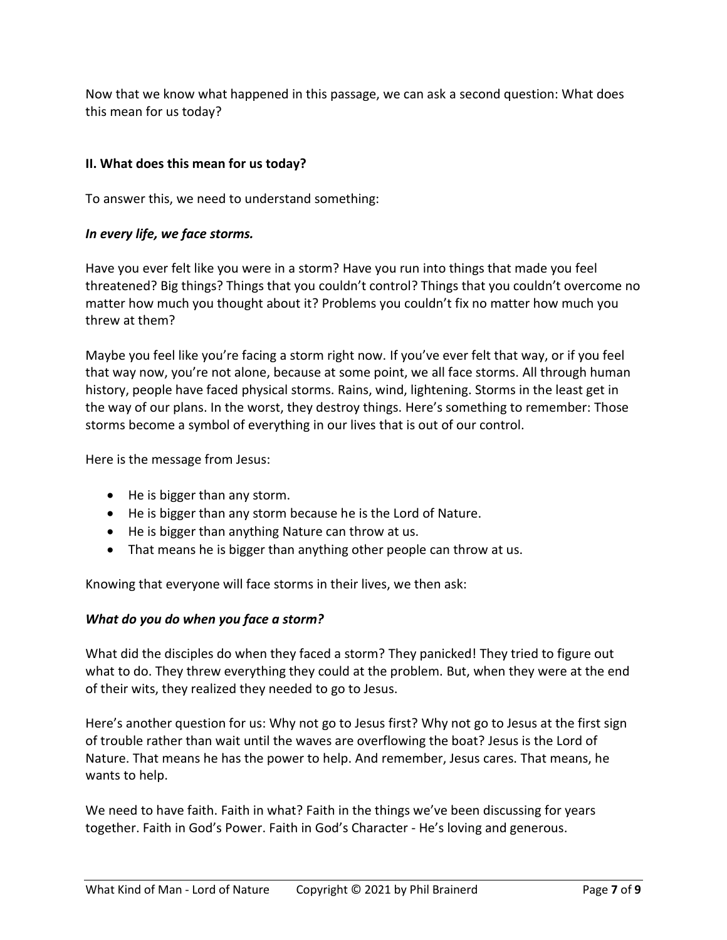Now that we know what happened in this passage, we can ask a second question: What does this mean for us today?

# **II. What does this mean for us today?**

To answer this, we need to understand something:

# *In every life, we face storms.*

Have you ever felt like you were in a storm? Have you run into things that made you feel threatened? Big things? Things that you couldn't control? Things that you couldn't overcome no matter how much you thought about it? Problems you couldn't fix no matter how much you threw at them?

Maybe you feel like you're facing a storm right now. If you've ever felt that way, or if you feel that way now, you're not alone, because at some point, we all face storms. All through human history, people have faced physical storms. Rains, wind, lightening. Storms in the least get in the way of our plans. In the worst, they destroy things. Here's something to remember: Those storms become a symbol of everything in our lives that is out of our control.

Here is the message from Jesus:

- He is bigger than any storm.
- He is bigger than any storm because he is the Lord of Nature.
- He is bigger than anything Nature can throw at us.
- That means he is bigger than anything other people can throw at us.

Knowing that everyone will face storms in their lives, we then ask:

### *What do you do when you face a storm?*

What did the disciples do when they faced a storm? They panicked! They tried to figure out what to do. They threw everything they could at the problem. But, when they were at the end of their wits, they realized they needed to go to Jesus.

Here's another question for us: Why not go to Jesus first? Why not go to Jesus at the first sign of trouble rather than wait until the waves are overflowing the boat? Jesus is the Lord of Nature. That means he has the power to help. And remember, Jesus cares. That means, he wants to help.

We need to have faith. Faith in what? Faith in the things we've been discussing for years together. Faith in God's Power. Faith in God's Character - He's loving and generous.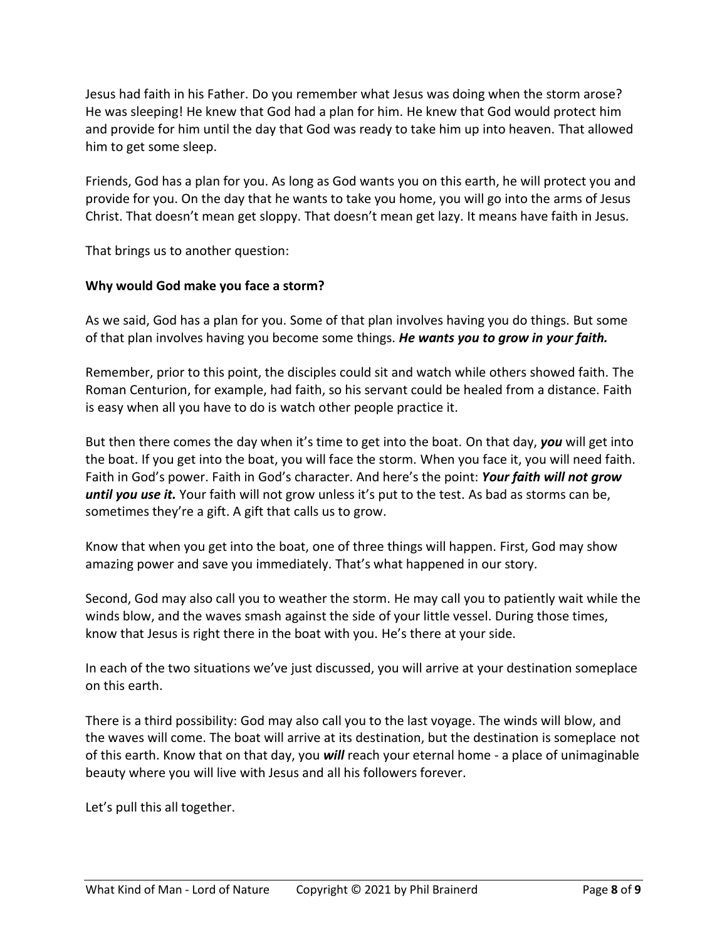Jesus had faith in his Father. Do you remember what Jesus was doing when the storm arose? He was sleeping! He knew that God had a plan for him. He knew that God would protect him and provide for him until the day that God was ready to take him up into heaven. That allowed him to get some sleep.

Friends, God has a plan for you. As long as God wants you on this earth, he will protect you and provide for you. On the day that he wants to take you home, you will go into the arms of Jesus Christ. That doesn't mean get sloppy. That doesn't mean get lazy. It means have faith in Jesus.

That brings us to another question:

#### **Why would God make you face a storm?**

As we said, God has a plan for you. Some of that plan involves having you do things. But some of that plan involves having you become some things. *He wants you to grow in your faith.*

Remember, prior to this point, the disciples could sit and watch while others showed faith. The Roman Centurion, for example, had faith, so his servant could be healed from a distance. Faith is easy when all you have to do is watch other people practice it.

But then there comes the day when it's time to get into the boat. On that day, *you* will get into the boat. If you get into the boat, you will face the storm. When you face it, you will need faith. Faith in God's power. Faith in God's character. And here's the point: *Your faith will not grow until you use it.* Your faith will not grow unless it's put to the test. As bad as storms can be, sometimes they're a gift. A gift that calls us to grow.

Know that when you get into the boat, one of three things will happen. First, God may show amazing power and save you immediately. That's what happened in our story.

Second, God may also call you to weather the storm. He may call you to patiently wait while the winds blow, and the waves smash against the side of your little vessel. During those times, know that Jesus is right there in the boat with you. He's there at your side.

In each of the two situations we've just discussed, you will arrive at your destination someplace on this earth.

There is a third possibility: God may also call you to the last voyage. The winds will blow, and the waves will come. The boat will arrive at its destination, but the destination is someplace not of this earth. Know that on that day, you *will* reach your eternal home - a place of unimaginable beauty where you will live with Jesus and all his followers forever.

Let's pull this all together.